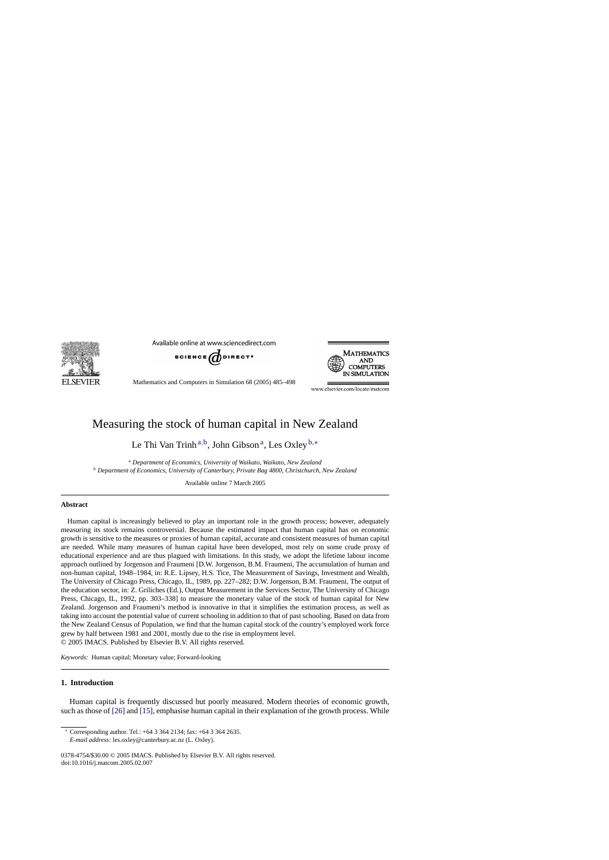

Available online at www.sciencedirect.com



Mathematics and Computers in Simulation 68 (2005) 485–498



www.elsevier.com/locate/matcom

## Measuring the stock of human capital in New Zealand

Le Thi Van Trinh<sup>a,b</sup>, John Gibson<sup>a</sup>, Les Oxley<sup>b,\*</sup>

<sup>a</sup> *Department of Economics, University of Waikato, Waikato, New Zealand* <sup>b</sup> *Department of Economics, University of Canterbury, Private Bag 4800, Christchurch, New Zealand*

Available online 7 March 2005

## **Abstract**

Human capital is increasingly believed to play an important role in the growth process; however, adequately measuring its stock remains controversial. Because the estimated impact that human capital has on economic growth is sensitive to the measures or proxies of human capital, accurate and consistent measures of human capital are needed. While many measures of human capital have been developed, most rely on some crude proxy of educational experience and are thus plagued with limitations. In this study, we adopt the lifetime labour income approach outlined by Jorgenson and Fraumeni [D.W. Jorgenson, B.M. Fraumeni, The accumulation of human and non-human capital, 1948–1984, in: R.E. Lipsey, H.S. Tice, The Measurement of Savings, Investment and Wealth, The University of Chicago Press, Chicago, IL, 1989, pp. 227–282; D.W. Jorgenson, B.M. Fraumeni, The output of the education sector, in: Z. Griliches (Ed.), Output Measurement in the Services Sector, The University of Chicago Press, Chicago, IL, 1992, pp. 303–338] to measure the monetary value of the stock of human capital for New Zealand. Jorgenson and Fraumeni's method is innovative in that it simplifies the estimation process, as well as taking into account the potential value of current schooling in addition to that of past schooling. Based on data from the New Zealand Census of Population, we find that the human capital stock of the country's employed work force grew by half between 1981 and 2001, mostly due to the rise in employment level. © 2005 IMACS. Published by Elsevier B.V. All rights reserved.

*Keywords:* Human capital; Monetary value; Forward-looking

## **1. Introduction**

Human capital is frequently discussed but poorly measured. Modern theories of economic growth, such as those of [\[26\]](#page--1-0) and [\[15\],](#page--1-0) emphasise human capital in their explanation of the growth process. While

<sup>∗</sup> Corresponding author. Tel.: +64 3 364 2134; fax: +64 3 364 2635.

*E-mail address:* les.oxley@canterbury.ac.nz (L. Oxley).

<sup>0378-4754/\$30.00 © 2005</sup> IMACS. Published by Elsevier B.V. All rights reserved. doi:10.1016/j.matcom.2005.02.007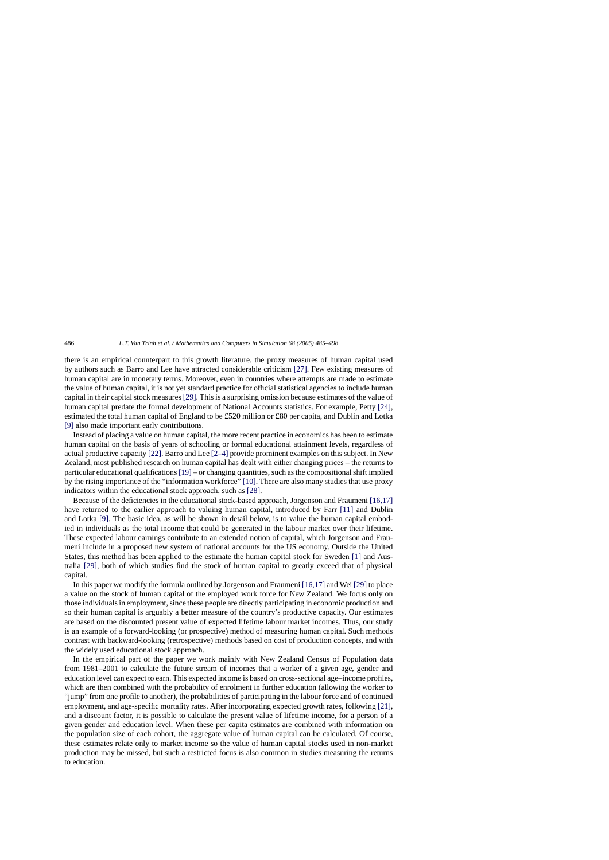there is an empirical counterpart to this growth literature, the proxy measures of human capital used by authors such as Barro and Lee have attracted considerable criticism [\[27\].](#page--1-0) Few existing measures of human capital are in monetary terms. Moreover, even in countries where attempts are made to estimate the value of human capital, it is not yet standard practice for official statistical agencies to include human capital in their capital stock measures [\[29\].](#page--1-0) This is a surprising omission because estimates of the value of human capital predate the formal development of National Accounts statistics. For example, Petty [\[24\],](#page--1-0) estimated the total human capital of England to be £520 million or £80 per capita, and Dublin and Lotka [\[9\]](#page--1-0) also made important early contributions.

Instead of placing a value on human capital, the more recent practice in economics has been to estimate human capital on the basis of years of schooling or formal educational attainment levels, regardless of actual productive capacity [\[22\].](#page--1-0) Barro and Lee [\[2–4\]](#page--1-0) provide prominent examples on this subject. In New Zealand, most published research on human capital has dealt with either changing prices – the returns to particular educational qualifications[\[19\]](#page--1-0) – or changing quantities, such as the compositional shift implied by the rising importance of the "information workforce" [\[10\].](#page--1-0) There are also many studies that use proxy indicators within the educational stock approach, such as [\[28\].](#page--1-0)

Because of the deficiencies in the educational stock-based approach, Jorgenson and Fraumeni [\[16,17\]](#page--1-0) have returned to the earlier approach to valuing human capital, introduced by Farr [\[11\]](#page--1-0) and Dublin and Lotka [\[9\].](#page--1-0) The basic idea, as will be shown in detail below, is to value the human capital embodied in individuals as the total income that could be generated in the labour market over their lifetime. These expected labour earnings contribute to an extended notion of capital, which Jorgenson and Fraumeni include in a proposed new system of national accounts for the US economy. Outside the United States, this method has been applied to the estimate the human capital stock for Sweden [\[1\]](#page--1-0) and Australia [\[29\],](#page--1-0) both of which studies find the stock of human capital to greatly exceed that of physical capital.

In this paper we modify the formula outlined by Jorgenson and Fraumeni [\[16,17\]](#page--1-0) and Wei [\[29\]](#page--1-0) to place a value on the stock of human capital of the employed work force for New Zealand. We focus only on those individuals in employment, since these people are directly participating in economic production and so their human capital is arguably a better measure of the country's productive capacity. Our estimates are based on the discounted present value of expected lifetime labour market incomes. Thus, our study is an example of a forward-looking (or prospective) method of measuring human capital. Such methods contrast with backward-looking (retrospective) methods based on cost of production concepts, and with the widely used educational stock approach.

In the empirical part of the paper we work mainly with New Zealand Census of Population data from 1981–2001 to calculate the future stream of incomes that a worker of a given age, gender and education level can expect to earn. This expected income is based on cross-sectional age–income profiles, which are then combined with the probability of enrolment in further education (allowing the worker to "jump" from one profile to another), the probabilities of participating in the labour force and of continued employment, and age-specific mortality rates. After incorporating expected growth rates, following [\[21\],](#page--1-0) and a discount factor, it is possible to calculate the present value of lifetime income, for a person of a given gender and education level. When these per capita estimates are combined with information on the population size of each cohort, the aggregate value of human capital can be calculated. Of course, these estimates relate only to market income so the value of human capital stocks used in non-market production may be missed, but such a restricted focus is also common in studies measuring the returns to education.